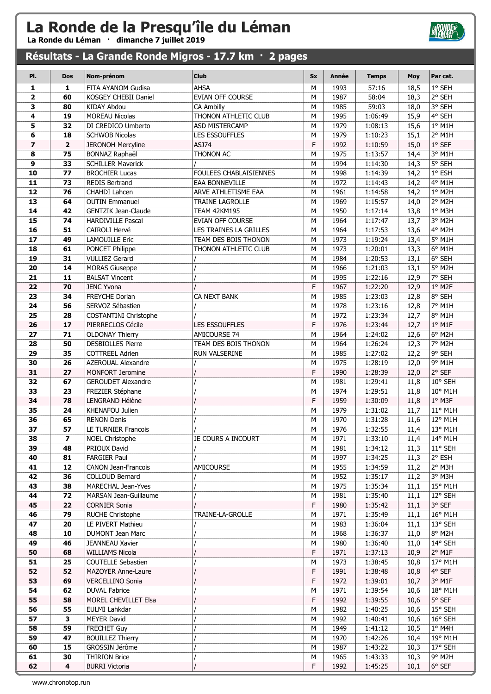La Ronde du Léman · dimanche 7 juillet 2019

### Résultats - La Grande Ronde Migros - 17.7 km · 2 pages

| PI.                     | <b>Dos</b>              | Nom-prénom                               | <b>Club</b>            | <b>Sx</b> | <b>Année</b> | <b>Temps</b>       | <b>Moy</b>   | Par cat.           |
|-------------------------|-------------------------|------------------------------------------|------------------------|-----------|--------------|--------------------|--------------|--------------------|
| 1                       | 1                       | FITA AYANOM Gudisa                       | AHSA                   | M         | 1993         | 57:16              | 18,5         | 1° SEH             |
| $\overline{\mathbf{2}}$ | 60                      | <b>KOSGEY CHEBII Daniel</b>              | EVIAN OFF COURSE       | М         | 1987         | 58:04              | 18,3         | $2°$ SEH           |
| 3                       | 80                      | <b>KIDAY Abdou</b>                       | CA Ambilly             | М         | 1985         | 59:03              | 18,0         | 3° SEH             |
| 4                       | 19                      | <b>MOREAU Nicolas</b>                    | THONON ATHLETIC CLUB   | M         | 1995         | 1:06:49            | 15,9         | 4° SEH             |
| 5                       | 32                      | DI CREDICO Umberto                       | ASD MISTERCAMP         | M         | 1979         | 1:08:13            | 15,6         | $1°$ M1H           |
| 6                       | 18                      | <b>SCHWOB Nicolas</b>                    | <b>LES ESSOUFFLES</b>  | M         | 1979         | 1:10:23            | 15,1         | 2° M1H             |
| $\overline{\mathbf{z}}$ | $\overline{\mathbf{2}}$ | <b>JERONOH Mercyline</b>                 | ASJ74                  | F         | 1992         | 1:10:59            | 15,0         | $1°$ SEF           |
| 8                       | 75                      | <b>BONNAZ Raphaël</b>                    | THONON AC              | M         | 1975         | 1:13:57            | 14,4         | 3° M1H             |
| 9                       | 33                      | <b>SCHILLER Maverick</b>                 |                        | M         | 1994         | 1:14:30            | 14,3         | 5° SEH             |
| 10                      | 77                      | <b>BROCHIER Lucas</b>                    | FOULEES CHABLAISIENNES | M         | 1998         | 1:14:39            | 14,2         | $1^{\circ}$ ESH    |
| 11                      | 73                      | <b>REDIS Bertrand</b>                    | EAA BONNEVILLE         | M         | 1972         | 1:14:43            | 14,2         | 4° M1H             |
| 12                      | 76                      | CHAHDI Lahcen                            | ARVE ATHLETISME EAA    | M         | 1961         | 1:14:58            | 14,2         | 1° M2H             |
| 13                      | 64                      | <b>OUTIN Emmanuel</b>                    | <b>TRAINE LAGROLLE</b> | M         | 1969         | 1:15:57            | 14,0         | 2° M2H             |
| 14                      | 42                      | <b>GENTZIK Jean-Claude</b>               | <b>TEAM 42KM195</b>    | M         | 1950         | 1:17:14            | 13,8         | 1° M3H             |
| 15                      | 74                      | <b>HARDIVILLE Pascal</b>                 | EVIAN OFF COURSE       | М         | 1964         | 1:17:47            | 13,7         | 3° M2H             |
| 16                      | 51                      | CAIROLI Hervé                            | LES TRAINES LA GRILLES | М         | 1964         | 1:17:53            | 13,6         | 4° M2H             |
| 17                      | 49<br>61                | <b>LAMOUILLE Eric</b>                    | TEAM DES BOIS THONON   | M<br>M    | 1973<br>1973 | 1:19:24            | 13,4         | 5° M1H<br>$6°$ M1H |
| 18<br>19                | 31                      | PONCET Philippe<br><b>VULLIEZ Gerard</b> | THONON ATHLETIC CLUB   | M         | 1984         | 1:20:01<br>1:20:53 | 13,3         | 6° SEH             |
| 20                      | 14                      | <b>MORAS Giuseppe</b>                    |                        | M         | 1966         | 1:21:03            | 13,1<br>13,1 | 5° M2H             |
| 21                      | 11                      | <b>BALSAT Vincent</b>                    |                        | M         | 1995         | 1:22:16            | 12,9         | 7° SEH             |
| 22                      | 70                      | <b>JENC Yvona</b>                        |                        | F         | 1967         | 1:22:20            | 12,9         | $1°$ M2F           |
| 23                      | 34                      | FREYCHE Dorian                           | CA NEXT BANK           | M         | 1985         | 1:23:03            | 12,8         | 8° SEH             |
| 24                      | 56                      | SERVOZ Sébastien                         |                        | M         | 1978         | 1:23:16            | 12,8         | 7° M1H             |
| 25                      | 28                      | COSTANTINI Christophe                    |                        | M         | 1972         | 1:23:34            | 12,7         | 8° M1H             |
| 26                      | 17                      | PIERRECLOS Cécile                        | LES ESSOUFFLES         | F         | 1976         | 1:23:44            | 12,7         | $1°$ M1F           |
| 27                      | 71                      | <b>OLDONAY Thierry</b>                   | AMICOURSE 74           | M         | 1964         | 1:24:02            | 12,6         | 6° M2H             |
| 28                      | 50                      | <b>DESBIOLLES Pierre</b>                 | TEAM DES BOIS THONON   | M         | 1964         | 1:26:24            | 12,3         | 7° M2H             |
| 29                      | 35                      | <b>COTTREEL Adrien</b>                   | RUN VALSERINE          | M         | 1985         | 1:27:02            | 12,2         | 9° SEH             |
| 30                      | 26                      | <b>AZEROUAL Alexandre</b>                |                        | M         | 1975         | 1:28:19            | 12,0         | 9° M1H             |
| 31                      | 27                      | MONFORT Jeromine                         |                        | F         | 1990         | 1:28:39            | 12,0         | $2°$ SEF           |
| 32                      | 67                      | <b>GEROUDET Alexandre</b>                |                        | M         | 1981         | 1:29:41            | 11,8         | 10° SEH            |
| 33                      | 23                      | FREZIER Stéphane                         |                        | М         | 1974         | 1:29:51            | 11,8         | 10° M1H            |
| 34                      | 78                      | LENGRAND Hélène                          |                        | F         | 1959         | 1:30:09            | 11,8         | $1°$ M3F           |
| 35                      | 24                      | KHENAFOU Julien                          |                        | M         | 1979         | 1:31:02            | 11,7         | 11° M1H            |
| 36                      | 65                      | <b>RENON Denis</b>                       |                        | M         | 1970         | 1:31:28            | 11,6         | 12° M1H            |
| 37                      | 57                      | LE TURNIER Francois                      |                        | M         | 1976         | 1:32:55            | 11,4         | 13° M1H            |
| 38                      | 7                       | <b>NOEL Christophe</b>                   | JE COURS A INCOURT     | M         | 1971         | 1:33:10            | 11,4         | 14° M1H            |
| 39                      | 48                      | PRIOUX David                             |                        | М         | 1981         | 1:34:12            | 11,3         | 11° SEH            |
| 40                      | 81                      | <b>FARGIER Paul</b>                      |                        | М         | 1997         | 1:34:25            | 11,3         | 2° ESH             |
| 41                      | 12                      | <b>CANON Jean-Francois</b>               | <b>AMICOURSE</b>       | M         | 1955         | 1:34:59            | 11,2         | 2° M3H             |
| 42                      | 36                      | <b>COLLOUD Bernard</b>                   |                        | М         | 1952         | 1:35:17            | 11,2         | 3° M3H             |
| 43                      | 38                      | MARECHAL Jean-Yves                       |                        | М         | 1975         | 1:35:34            | 11,1         | 15° M1H            |
| 44<br>45                | 72<br>22                | MARSAN Jean-Guillaume                    |                        | М<br>F    | 1981<br>1980 | 1:35:40            | 11,1         | 12° SEH<br>3° SEF  |
| 46                      | 79                      | <b>CORNIER Sonia</b><br>RUCHE Christophe | TRAINE-LA-GROLLE       | М         | 1971         | 1:35:42<br>1:35:49 | 11,1<br>11,1 | 16° M1H            |
| 47                      | 20                      | LE PIVERT Mathieu                        |                        | М         | 1983         | 1:36:04            | 11,1         | 13° SEH            |
| 48                      | 10                      | <b>DUMONT Jean Marc</b>                  |                        | М         | 1968         | 1:36:37            | 11,0         | 8° M2H             |
| 49                      | 46                      | <b>JEANNEAU Xavier</b>                   |                        | М         | 1980         | 1:36:40            | 11,0         | 14° SEH            |
| 50                      | 68                      | <b>WILLIAMS Nicola</b>                   |                        | F         | 1971         | 1:37:13            | 10,9         | $2°$ M1F           |
| 51                      | 25                      | COUTELLE Sebastien                       |                        | М         | 1973         | 1:38:45            | 10,8         | 17° M1H            |
| 52                      | 52                      | <b>MAZOYER Anne-Laure</b>                |                        | F         | 1991         | 1:38:48            | 10,8         | 4° SEF             |
| 53                      | 69                      | <b>VERCELLINO Sonia</b>                  |                        | F         | 1972         | 1:39:01            | 10,7         | 3° M1F             |
| 54                      | 62                      | <b>DUVAL Fabrice</b>                     |                        | M         | 1971         | 1:39:54            | 10,6         | 18° M1H            |
| 55                      | 58                      | MOREL CHEVILLET Elsa                     |                        | F         | 1992         | 1:39:55            | 10,6         | 5° SEF             |
| 56                      | 55                      | EULMI Lahkdar                            |                        | M         | 1982         | 1:40:25            | 10,6         | 15° SEH            |
| 57                      | 3                       | <b>MEYER David</b>                       |                        | М         | 1992         | 1:40:41            | 10,6         | 16° SEH            |
| 58                      | 59                      | <b>FRECHET Guy</b>                       |                        | М         | 1949         | 1:41:12            | 10,5         | $1°$ M4H           |
| 59                      | 47                      | <b>BOUILLEZ Thierry</b>                  |                        | М         | 1970         | 1:42:26            | 10,4         | 19° M1H            |
| 60                      | 15                      | GROSSIN Jérôme                           |                        | М         | 1987         | 1:43:22            | 10,3         | 17° SEH            |
| 61                      | 30                      | <b>THIRION Brice</b>                     |                        | М         | 1965         | 1:43:33            | 10,3         | $9°$ M2H           |
| 62                      | $\overline{\mathbf{4}}$ | <b>BURRI Victoria</b>                    |                        | F         | 1992         | 1:45:25            | 10,1         | $6^{\circ}$ SEF    |

**HRONDE®**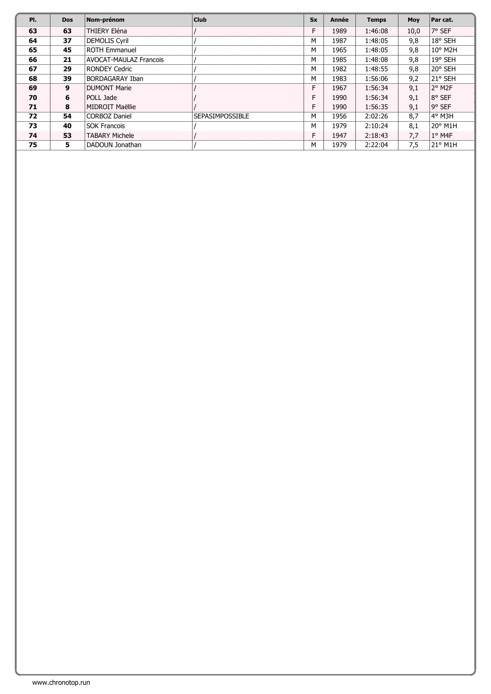| PI. | <b>Dos</b> | Nom-prénom                    | <b>Club</b>            | <b>Sx</b> | Année | <b>Temps</b> | Moy  | Par cat.                    |
|-----|------------|-------------------------------|------------------------|-----------|-------|--------------|------|-----------------------------|
| 63  | 63         | THIERY Eléna                  |                        | F         | 1989  | 1:46:08      | 10,0 | 7° SEF                      |
| 64  | 37         | <b>DEMOLIS Cyril</b>          |                        | M         | 1987  | 1:48:05      | 9,8  | 18° SEH                     |
| 65  | 45         | <b>ROTH Emmanuel</b>          |                        | M         | 1965  | 1:48:05      | 9,8  | $10^{\circ}$ M2H            |
| 66  | 21         | <b>AVOCAT-MAULAZ Francois</b> |                        | M         | 1985  | 1:48:08      | 9,8  | 19° SEH                     |
| 67  | 29         | <b>RONDEY Cedric</b>          |                        | M         | 1982  | 1:48:55      | 9,8  | 20° SEH                     |
| 68  | 39         | <b>BORDAGARAY Iban</b>        |                        | M         | 1983  | 1:56:06      | 9,2  | 21° SEH                     |
| 69  | 9          | <b>DUMONT Marie</b>           |                        | F         | 1967  | 1:56:34      | 9,1  | $2^{\circ}$ M <sub>2F</sub> |
| 70  | 6          | POLL Jade                     |                        | F         | 1990  | 1:56:34      | 9,1  | 8° SEF                      |
| 71  | 8          | MIDROIT Maëllie               |                        | F         | 1990  | 1:56:35      | 9,1  | 9° SEF                      |
| 72  | 54         | <b>CORBOZ Daniel</b>          | <b>SEPASIMPOSSIBLE</b> | M         | 1956  | 2:02:26      | 8,7  | $4^{\circ}$ M3H             |
| 73  | 40         | <b>SOK Francois</b>           |                        | M         | 1979  | 2:10:24      | 8,1  | $20^{\circ}$ M1H            |
| 74  | 53         | <b>TABARY Michele</b>         |                        | F         | 1947  | 2:18:43      | 7,7  | $1°$ M4F                    |
| 75  | 5          | DADOUN Jonathan               |                        | M         | 1979  | 2:22:04      | 7,5  | $21^{\circ}$ M1H            |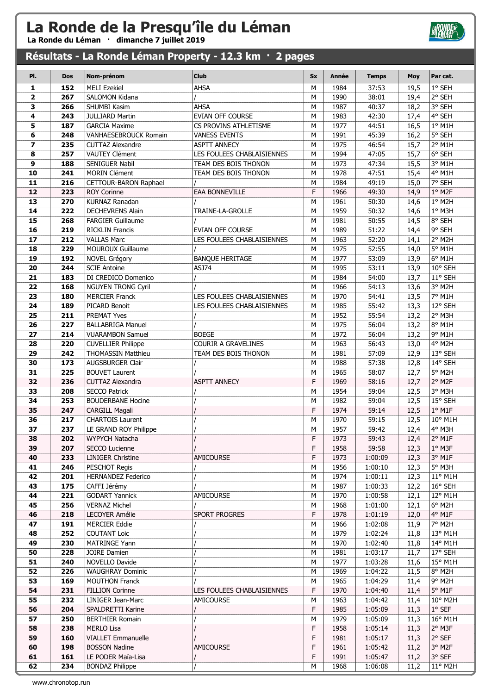La Ronde du Léman · dimanche 7 juillet 2019

### Résultats - La Ronde Léman Property - 12.3 km · 2 pages

| PI.                     | <b>Dos</b> | Nom-prénom                                       | <b>Club</b>                | <b>Sx</b> | Année        | <b>Temps</b>   | <b>Moy</b>   | Par cat.         |
|-------------------------|------------|--------------------------------------------------|----------------------------|-----------|--------------|----------------|--------------|------------------|
| 1                       | 152        | <b>MELI Ezekiel</b>                              | <b>AHSA</b>                | M         | 1984         | 37:53          | 19,5         | 1° SEH           |
| $\overline{\mathbf{2}}$ | 267        | SALOMON Kidana                                   |                            | M         | 1990         | 38:01          | 19,4         | 2° SEH           |
| 3                       | 266        | SHUMBI Kasim                                     | AHSA                       | M         | 1987         | 40:37          | 18,2         | 3° SEH           |
| 4                       | 243        | <b>JULLIARD Martin</b>                           | EVIAN OFF COURSE           | M         | 1983         | 42:30          | 17,4         | 4° SEH           |
| 5                       | 187        | <b>GARCIA Maxime</b>                             | CS PROVINS ATHLETISME      | M         | 1977         | 44:51          | 16,5         | $1°$ M1H         |
| 6                       | 248        | VANHAESEBROUCK Romain                            | <b>VANESS EVENTS</b>       | M         | 1991         | 45:39          | 16,2         | 5° SEH           |
| $\overline{\mathbf{z}}$ | 235        | <b>CUTTAZ Alexandre</b>                          | <b>ASPTT ANNECY</b>        | M         | 1975         | 46:54          | 15,7         | 2° M1H           |
| 8                       | 257        | <b>VAUTEY Clément</b>                            | LES FOULEES CHABLAISIENNES | M         | 1994         | 47:05          | 15,7         | 6° SEH           |
| 9                       | 188        | SENIGUER Nabil                                   | TEAM DES BOIS THONON       | M         | 1973         | 47:34          | 15,5         | 3° M1H           |
| 10                      | 241        | <b>MORIN Clément</b>                             | TEAM DES BOIS THONON       | M         | 1978         | 47:51          | 15,4         | 4° M1H           |
| 11                      | 216        | CETTOUR-BARON Raphael                            |                            | M         | 1984         | 49:19          | 15,0         | 7° SEH           |
| 12                      | 223        | <b>ROY Corinne</b>                               | EAA BONNEVILLE             | F         | 1966         | 49:30          | 14,9         | 1° M2F           |
| 13                      | 270        | KURNAZ Ranadan                                   |                            | M         | 1961         | 50:30          | 14,6         | 1° M2H           |
| 14                      | 222        | <b>DECHEVRENS Alain</b>                          | TRAINE-LA-GROLLE           | M         | 1959         | 50:32          | 14,6         | 1° M3H           |
| 15                      | 268        | <b>FARGIER Guillaume</b>                         |                            | M         | 1981         | 50:55          | 14,5         | 8° SEH           |
| 16                      | 219        | <b>RICKLIN Francis</b>                           | EVIAN OFF COURSE           | M         | 1989         | 51:22          | 14,4         | 9° SEH           |
| 17                      | 212        | <b>VALLAS Marc</b>                               | LES FOULEES CHABLAISIENNES | M         | 1963         | 52:20          | 14,1         | 2° M2H           |
| 18                      | 229        | <b>MOUROUX Guillaume</b>                         |                            | M         | 1975         | 52:55          | 14,0         | 5° M1H           |
| 19                      | 192        | NOVEL Grégory                                    | <b>BANQUE HERITAGE</b>     | M         | 1977         | 53:09          | 13,9         | 6° M1H           |
| 20                      | 244        | <b>SCIE Antoine</b>                              | ASJ74                      | M         | 1995         | 53:11          | 13,9         | 10° SEH          |
| 21                      | 183        | DI CREDICO Domenico                              |                            | M         | 1984         | 54:00          | 13,7         | 11° SEH          |
| 22                      | 168        | <b>NGUYEN TRONG Cyril</b>                        |                            | M         | 1966         | 54:13          | 13,6         | 3° M2H           |
| 23                      | 180        | <b>MERCIER Franck</b>                            | LES FOULEES CHABLAISIENNES | M         | 1970         | 54:41          | 13,5         | 7° M1H           |
| 24                      | 189        | PICARD Benoit                                    | LES FOULEES CHABLAISIENNES | M         | 1985         | 55:42          | 13,3         | 12° SEH          |
| 25                      | 211        | <b>PREMAT Yves</b>                               |                            | M         | 1952         | 55:54          | 13,2         | 2° M3H           |
| 26                      | 227        | <b>BALLABRIGA Manuel</b>                         |                            | M         | 1975         | 56:04          | 13,2         | 8° M1H           |
| 27                      | 214        | <b>VUARAMBON Samuel</b>                          | <b>BOEGE</b>               | M         | 1972         | 56:04          | 13,2         | 9° M1H           |
| 28                      | 220        | <b>CUVELLIER Philippe</b>                        | COURIR A GRAVELINES        | M         | 1963         | 56:43          | 13,0         | 4° M2H           |
| 29                      | 242        | <b>THOMASSIN Matthieu</b>                        | TEAM DES BOIS THONON       | M         | 1981         | 57:09          | 12,9         | 13° SEH          |
| 30                      | 173        | <b>AUGSBURGER Clair</b>                          |                            | M         | 1988         | 57:38          | 12,8         | 14° SEH          |
| 31<br>32                | 225<br>236 | <b>BOUVET Laurent</b><br><b>CUTTAZ Alexandra</b> | <b>ASPTT ANNECY</b>        | M<br>F    | 1965<br>1969 | 58:07<br>58:16 | 12,7         | 5° M2H<br>2° M2F |
| 33                      | 208        | <b>SECCO Patrick</b>                             |                            | M         | 1954         | 59:04          | 12,7<br>12,5 | 3° M3H           |
| 34                      | 253        | <b>BOUDERBANE Hocine</b>                         |                            | M         | 1982         | 59:04          | 12,5         | 15° SEH          |
| 35                      | 247        | CARGILL Magali                                   |                            | F         | 1974         | 59:14          | 12,5         | $1^{\circ}$ M1F  |
| 36                      | 217        | <b>CHARTOIS Laurent</b>                          |                            | M         | 1970         | 59:15          | 12,5         | 10° M1H          |
| 37                      | 237        | LE GRAND ROY Philippe                            |                            | М         | 1957         | 59:42          | 12,4         | 4° M3H           |
| 38                      | 202        | <b>WYPYCH Natacha</b>                            |                            | F         | 1973         | 59:43          | 12,4         | $2°$ M1F         |
| 39                      | 207        | SECCO Lucienne                                   |                            | F         | 1958         | 59:58          | 12,3         | $1°$ M3F         |
| 40                      | 233        | <b>LINIGER Christine</b>                         | AMICOURSE                  | F         | 1973         | 1:00:09        | 12,3         | 3° M1F           |
| 41                      | 246        | <b>PESCHOT Regis</b>                             |                            | M         | 1956         | 1:00:10        | 12,3         | 5° M3H           |
| 42                      | 201        | <b>HERNANDEZ Federico</b>                        |                            | M         | 1974         | 1:00:11        | 12,3         | 11° M1H          |
| 43                      | 175        | CAFFI Jérémy                                     |                            | M         | 1987         | 1:00:33        | 12,2         | 16° SEH          |
| 44                      | 221        | <b>GODART Yannick</b>                            | <b>AMICOURSE</b>           | M         | 1970         | 1:00:58        | 12,1         | 12° M1H          |
| 45                      | 256        | <b>VERNAZ Michel</b>                             |                            | М         | 1968         | 1:01:00        | 12,1         | 6° M2H           |
| 46                      | 218        | <b>LECOYER Amélie</b>                            | <b>SPORT PROGRES</b>       | F         | 1978         | 1:01:19        | 12,0         | 4° M1F           |
| 47                      | 191        | <b>MERCIER Eddie</b>                             |                            | M         | 1966         | 1:02:08        | 11,9         | 7° M2H           |
| 48                      | 252        | <b>COUTANT Loic</b>                              |                            | M         | 1979         | 1:02:24        | 11,8         | 13° M1H          |
| 49                      | 230        | MATRINGE Yann                                    |                            | M         | 1970         | 1:02:40        | 11,8         | 14° M1H          |
| 50                      | 228        | JOIRE Damien                                     |                            | М         | 1981         | 1:03:17        | 11,7         | 17° SEH          |
| 51                      | 240        | NOVELLO Davide                                   |                            | M         | 1977         | 1:03:28        | 11,6         | 15° M1H          |
| 52                      | 226        | <b>WAUGHRAY Dominic</b>                          |                            | M         | 1969         | 1:04:22        | 11,5         | 8° M2H           |
| 53                      | 169        | <b>MOUTHON Franck</b>                            |                            | M         | 1965         | 1:04:29        | 11,4         | 9° M2H           |
| 54                      | 231        | <b>FILLION Corinne</b>                           | LES FOULEES CHABLAISIENNES | F         | 1970         | 1:04:40        | 11,4         | $5^{\circ}$ M1F  |
| 55                      | 232        | LINIGER Jean-Marc                                | AMICOURSE                  | M         | 1963         | 1:04:42        | 11,4         | 10° M2H          |
| 56                      | 204        | SPALDRETTI Karine                                |                            | F         | 1985         | 1:05:09        | 11,3         | $1°$ SEF         |
| 57                      | 250        | <b>BERTHIER Romain</b>                           |                            | M         | 1979         | 1:05:09        | 11,3         | 16° M1H          |
| 58                      | 238        | <b>MERLO Lisa</b>                                |                            | F         | 1958         | 1:05:14        | 11,3         | 2° M3F           |
| 59                      | 160        | <b>VIALLET Emmanuelle</b>                        |                            | F         | 1981         | 1:05:17        | 11,3         | 2° SEF           |
| 60                      | 198        | <b>BOSSON Nadine</b>                             | <b>AMICOURSE</b>           | F         | 1961         | 1:05:42        | 11,2         | 3° M2F           |
| 61<br>62                | 161<br>234 | LE PODER Maïa-Lisa                               |                            | F<br>M    | 1991<br>1968 | 1:05:47        | 11,2         | 3° SEF           |
|                         |            | <b>BONDAZ Philippe</b>                           |                            |           |              | 1:06:08        | 11,2         | 11° M2H          |

**BRONDES**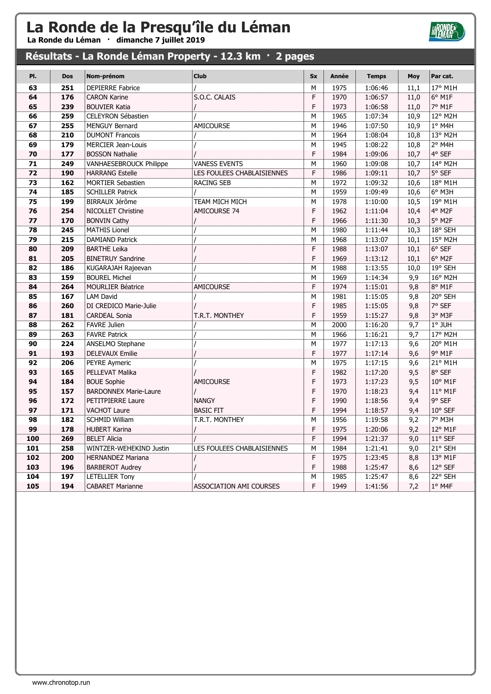La Ronde du Léman · dimanche 7 juillet 2019

### Résultats - La Ronde Léman Property - 12.3 km · 2 pages

| PI. | <b>Dos</b> | Nom-prénom                     | <b>Club</b>                | <b>Sx</b>   | <b>Année</b> | <b>Temps</b> | Moy  | Par cat. |
|-----|------------|--------------------------------|----------------------------|-------------|--------------|--------------|------|----------|
| 63  | 251        | <b>DEPIERRE Fabrice</b>        |                            | M           | 1975         | 1:06:46      | 11,1 | 17° M1H  |
| 64  | 176        | <b>CARON Karine</b>            | S.O.C. CALAIS              | F           | 1970         | 1:06:57      | 11,0 | $6°$ M1F |
| 65  | 239        | <b>BOUVIER Katia</b>           |                            | F           | 1973         | 1:06:58      | 11,0 | 7° M1F   |
| 66  | 259        | <b>CELEYRON Sébastien</b>      |                            | M           | 1965         | 1:07:34      | 10,9 | 12° M2H  |
| 67  | 255        | <b>MENGUY Bernard</b>          | AMICOURSE                  | M           | 1946         | 1:07:50      | 10,9 | $1°$ M4H |
| 68  | 210        | <b>DUMONT Francois</b>         |                            | M           | 1964         | 1:08:04      | 10,8 | 13° M2H  |
| 69  | 179        | <b>MERCIER Jean-Louis</b>      |                            | M           | 1945         | 1:08:22      | 10,8 | 2° M4H   |
| 70  | 177        | <b>BOSSON Nathalie</b>         |                            | F           | 1984         | 1:09:06      | 10,7 | 4° SEF   |
| 71  | 249        | <b>VANHAESEBROUCK Philippe</b> | <b>VANESS EVENTS</b>       | M           | 1960         | 1:09:08      | 10,7 | 14° M2H  |
| 72  | 190        | <b>HARRANG Estelle</b>         | LES FOULEES CHABLAISIENNES | F           | 1986         | 1:09:11      | 10,7 | 5° SEF   |
| 73  | 162        | <b>MORTIER Sebastien</b>       | <b>RACING SEB</b>          | M           | 1972         | 1:09:32      | 10,6 | 18° M1H  |
| 74  | 185        | <b>SCHILLER Patrick</b>        |                            | М           | 1959         | 1:09:49      | 10,6 | 6° M3H   |
| 75  | 199        | <b>BIRRAUX Jérôme</b>          | TEAM MICH MICH             | M           | 1978         | 1:10:00      | 10,5 | 19° M1H  |
| 76  | 254        | NICOLLET Christine             | AMICOURSE 74               | F           | 1962         | 1:11:04      | 10,4 | 4° M2F   |
| 77  | 170        | <b>BONVIN Cathy</b>            |                            | $\mathsf F$ | 1966         | 1:11:30      | 10,3 | 5° M2F   |
| 78  | 245        | <b>MATHIS Lionel</b>           |                            | M           | 1980         | 1:11:44      | 10,3 | 18° SEH  |
| 79  | 215        | <b>DAMIAND Patrick</b>         |                            | М           | 1968         | 1:13:07      | 10,1 | 15° M2H  |
| 80  | 209        | <b>BARTHE Leika</b>            |                            | F           | 1988         | 1:13:07      | 10,1 | 6° SEF   |
| 81  | 205        | <b>BINETRUY Sandrine</b>       |                            | F           | 1969         | 1:13:12      | 10,1 | 6° M2F   |
| 82  | 186        | KUGARAJAH Rajeevan             |                            | M           | 1988         | 1:13:55      | 10,0 | 19° SEH  |
| 83  | 159        | <b>BOUREL Michel</b>           |                            | M           | 1969         | 1:14:34      | 9,9  | 16° M2H  |
| 84  | 264        | <b>MOURLIER Béatrice</b>       | AMICOURSE                  | $\mathsf F$ | 1974         | 1:15:01      | 9,8  | 8° M1F   |
| 85  | 167        | <b>LAM David</b>               |                            | M           | 1981         | 1:15:05      | 9,8  | 20° SEH  |
| 86  | 260        | DI CREDICO Marie-Julie         |                            | $\mathsf F$ | 1985         | 1:15:05      | 9,8  | 7° SEF   |
| 87  | 181        | <b>CARDEAL Sonia</b>           | T.R.T. MONTHEY             | F           | 1959         | 1:15:27      | 9,8  | 3° M3F   |
| 88  | 262        | <b>FAVRE Julien</b>            |                            | M           | 2000         | 1:16:20      | 9,7  | 1° JUH   |
| 89  | 263        | <b>FAVRE Patrick</b>           |                            | М           | 1966         | 1:16:21      | 9,7  | 17° M2H  |
| 90  | 224        | <b>ANSELMO Stephane</b>        |                            | M           | 1977         | 1:17:13      | 9,6  | 20° M1H  |
| 91  | 193        | <b>DELEVAUX Emilie</b>         |                            | F           | 1977         | 1:17:14      | 9,6  | 9° M1F   |
| 92  | 206        | PEYRE Aymeric                  |                            | М           | 1975         | 1:17:15      | 9,6  | 21° M1H  |
| 93  | 165        | PELLEVAT Malika                |                            | $\mathsf F$ | 1982         | 1:17:20      | 9,5  | 8° SEF   |
| 94  | 184        | <b>BOUE Sophie</b>             | AMICOURSE                  | F           | 1973         | 1:17:23      | 9,5  | 10° M1F  |
| 95  | 157        | <b>BARDONNEX Marie-Laure</b>   |                            | F           | 1970         | 1:18:23      | 9,4  | 11° M1F  |
| 96  | 172        | <b>PETITPIERRE Laure</b>       | <b>NANGY</b>               | F           | 1990         | 1:18:56      | 9,4  | 9° SEF   |
| 97  | 171        | <b>VACHOT Laure</b>            | <b>BASIC FIT</b>           | F           | 1994         | 1:18:57      | 9,4  | 10° SEF  |
| 98  | 182        | <b>SCHMID William</b>          | T.R.T. MONTHEY             | M           | 1956         | 1:19:58      | 9,2  | 7° M3H   |
| 99  | 178        | <b>HUBERT Karina</b>           |                            | $\mathsf F$ | 1975         | 1:20:06      | 9,2  | 12° M1F  |
| 100 | 269        | <b>BELET Alicia</b>            |                            | $\mathsf F$ | 1994         | 1:21:37      | 9,0  | 11° SEF  |
| 101 | 258        | WINTZER-WEHEKIND Justin        | LES FOULEES CHABLAISIENNES | M           | 1984         | 1:21:41      | 9,0  | 21° SEH  |
| 102 | 200        | <b>HERNANDEZ Mariana</b>       |                            | F           | 1975         | 1:23:45      | 8,8  | 13° M1F  |
| 103 | 196        | <b>BARBEROT Audrey</b>         |                            | F           | 1988         | 1:25:47      | 8,6  | 12° SEF  |
| 104 | 197        | <b>LETELLIER Tony</b>          |                            | M           | 1985         | 1:25:47      | 8,6  | 22° SEH  |
| 105 | 194        | <b>CABARET Marianne</b>        | ASSOCIATION AMI COURSES    | F           | 1949         | 1:41:56      | 7,2  | 1° M4F   |

**HRONDE®**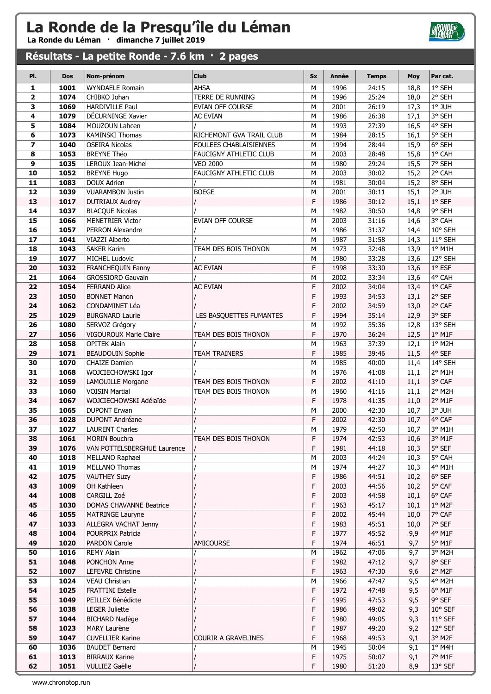La Ronde du Léman · dimanche 7 juillet 2019

### Résultats - La petite Ronde - 7.6 km · 2 pages

| PI.                     | <b>Dos</b>   | Nom-prénom                                    | <b>Club</b>                | <b>Sx</b> | Année        | <b>Temps</b>   | <b>Moy</b>   | Par cat.                   |
|-------------------------|--------------|-----------------------------------------------|----------------------------|-----------|--------------|----------------|--------------|----------------------------|
| 1                       | 1001         | <b>WYNDAELE Romain</b>                        | <b>AHSA</b>                | M         | 1996         | 24:15          | 18,8         | 1° SEH                     |
| $\overline{\mathbf{2}}$ | 1074         | CHIBKO Johan                                  | TERRE DE RUNNING           | M         | 1996         | 25:24          | 18,0         | $2°$ SEH                   |
| 3                       | 1069         | <b>HARDIVILLE Paul</b>                        | <b>EVIAN OFF COURSE</b>    | M         | 2001         | 26:19          | 17,3         | $1°$ JUH                   |
| 4                       | 1079         | DÉCURNINGE Xavier                             | AC EVIAN                   | M         | 1986         | 26:38          | 17,1         | 3° SEH                     |
| 5                       | 1084         | MOUZOUN Lahcen                                |                            | M         | 1993         | 27:39          | 16,5         | 4° SEH                     |
| 6                       | 1073         | <b>KAMINSKI Thomas</b>                        | RICHEMONT GVA TRAIL CLUB   | M         | 1984         | 28:15          | 16,1         | 5° SEH                     |
| $\overline{\mathbf{z}}$ | 1040         | <b>OSEIRA Nicolas</b>                         | FOULEES CHABLAISIENNES     | M         | 1994         | 28:44          | 15,9         | 6° SEH                     |
| 8                       | 1053         | <b>BREYNE Théo</b>                            | FAUCIGNY ATHLETIC CLUB     | M         | 2003         | 28:48          | 15,8         | $1°$ CAH                   |
| 9                       | 1035         | LEROUX Jean-Michel                            | <b>VEO 2000</b>            | M         | 1980         | 29:24          | 15,5         | 7° SEH                     |
| 10                      | 1052         | <b>BREYNE Hugo</b>                            | FAUCIGNY ATHLETIC CLUB     | M         | 2003         | 30:02          | 15,2         | 2° CAH                     |
| 11                      | 1083         | <b>DOUX Adrien</b>                            |                            | M         | 1981         | 30:04          | 15,2         | 8° SEH                     |
| 12                      | 1039         | <b>VUARAMBON Justin</b>                       | <b>BOEGE</b>               | M         | 2001         | 30:11          | 15,1         | 2° JUH                     |
| 13                      | 1017         | <b>DUTRIAUX Audrey</b>                        |                            | F         | 1986         | 30:12          | 15,1         | $1°$ SEF                   |
| 14                      | 1037         | <b>BLACQUE Nicolas</b>                        |                            | M         | 1982         | 30:50          | 14,8         | 9° SEH                     |
| 15                      | 1066         | <b>MENETRIER Victor</b>                       | EVIAN OFF COURSE           | M         | 2003         | 31:16          | 14,6         | 3° CAH                     |
| 16                      | 1057         | <b>PERRON Alexandre</b>                       |                            | ${\sf M}$ | 1986         | 31:37          | 14,4         | 10° SEH                    |
| 17                      | 1041         | VIAZZI Alberto                                |                            | М         | 1987         | 31:58          | 14,3         | 11° SEH                    |
| 18                      | 1043         | <b>SAKER Karim</b>                            | TEAM DES BOIS THONON       | M         | 1973         | 32:48          | 13,9         | $1°$ M1H                   |
| 19                      | 1077         | <b>MICHEL Ludovic</b>                         |                            | M         | 1980         | 33:28          | 13,6         | 12° SEH<br>$1^{\circ}$ ESF |
| 20<br>21                | 1032<br>1064 | FRANCHEQUIN Fanny<br><b>GROSSIORD Gauvain</b> | <b>AC EVIAN</b>            | F<br>M    | 1998<br>2002 | 33:30<br>33:34 | 13,6         | 4° CAH                     |
| 22                      | 1054         | <b>FERRAND Alice</b>                          | <b>AC EVIAN</b>            | F         | 2002         | 34:04          | 13,6<br>13,4 | $1^{\circ}$ CAF            |
| 23                      | 1050         | <b>BONNET Manon</b>                           |                            | F         | 1993         | 34:53          | 13,1         | 2° SEF                     |
| 24                      | 1062         | <b>CONDAMINET Léa</b>                         |                            | F         | 2002         | 34:59          | 13,0         | 2° CAF                     |
| 25                      | 1029         | <b>BURGNARD Laurie</b>                        | LES BASQUETTES FUMANTES    | F         | 1994         | 35:14          | 12,9         | 3° SEF                     |
| 26                      | 1080         | SERVOZ Grégory                                |                            | M         | 1992         | 35:36          | 12,8         | 13° SEH                    |
| 27                      | 1056         | <b>VIGOUROUX Marie Claire</b>                 | TEAM DES BOIS THONON       | F         | 1970         | 36:24          | 12,5         | $1^{\circ}$ M1F            |
| 28                      | 1058         | <b>OPITEK Alain</b>                           |                            | M         | 1963         | 37:39          | 12,1         | 1° M2H                     |
| 29                      | 1071         | <b>BEAUDOUIN Sophie</b>                       | <b>TEAM TRAINERS</b>       | F         | 1985         | 39:46          | 11,5         | 4° SEF                     |
| 30                      | 1070         | <b>CHAIZE Damien</b>                          |                            | M         | 1985         | 40:00          | 11,4         | 14° SEH                    |
| 31                      | 1068         | WOJCIECHOWSKI Igor                            |                            | M         | 1976         | 41:08          | 11,1         | 2° M1H                     |
| 32                      | 1059         | LAMOUILLE Morgane                             | TEAM DES BOIS THONON       | F         | 2002         | 41:10          | 11,1         | 3° CAF                     |
| 33                      | 1060         | <b>VOISIN Martial</b>                         | TEAM DES BOIS THONON       | M         | 1960         | 41:16          | 11,1         | 2° M2H                     |
| 34                      | 1067         | WOJCIECHOWSKI Adélaïde                        |                            | F         | 1978         | 41:35          | 11,0         | 2° M1F                     |
| 35                      | 1065         | <b>DUPONT Erwan</b>                           |                            | M         | 2000         | 42:30          | 10,7         | 3° JUH                     |
| 36                      | 1028         | <b>DUPONT Andréane</b>                        |                            | F         | 2002         | 42:30          | 10,7         | 4° CAF                     |
| 37                      | 1027         | <b>LAURENT Charles</b>                        |                            | M         | 1979         | 42:50          | 10,7         | 3° M1H                     |
| 38                      | 1061         | <b>MORIN Bouchra</b>                          | TEAM DES BOIS THONON       | F         | 1974         | 42:53          | 10,6         | $3^{\circ}$ M1F            |
| 39                      | 1076         | VAN POTTELSBERGHUE Laurence                   |                            | F         | 1981         | 44:18          | 10,3         | 5° SEF                     |
| 40                      | 1018         | MELLANO Raphael                               |                            | M         | 2003         | 44:24          | 10,3         | 5° CAH                     |
| 41                      | 1019         | MELLANO Thomas                                |                            | М         | 1974         | 44:27          | 10,3         | 4° M1H                     |
| 42                      | 1075         | <b>VAUTHEY Suzy</b>                           |                            | F         | 1986         | 44:51          | 10,2         | $6°$ SEF                   |
| 43                      | 1009         | OH Kathleen                                   |                            | F         | 2003         | 44:56          | 10,2         | 5° CAF                     |
| 44                      | 1008         | CARGILL Zoé                                   |                            | F         | 2003         | 44:58          | 10,1         | 6° CAF                     |
| 45                      | 1030         | DOMAS CHAVANNE Beatrice                       |                            | F         | 1963         | 45:17          | 10,1         | $1°$ M2F                   |
| 46                      | 1055         | <b>MATRINGE Lauryne</b>                       |                            | F<br>F    | 2002<br>1983 | 45:44          | 10,0         | 7° CAF<br>7° SEF           |
| 47<br>48                | 1033<br>1004 | ALLEGRA VACHAT Jenny<br>POURPRIX Patricia     |                            | F         | 1977         | 45:51<br>45:52 | 10,0         | 4° M1F                     |
| 49                      | 1020         | <b>PARDON Carole</b>                          | AMICOURSE                  | F         | 1974         | 46:51          | 9,9<br>9,7   | 5° M1F                     |
| 50                      | 1016         | <b>REMY Alain</b>                             |                            | M         | 1962         | 47:06          | 9,7          | 3° M2H                     |
| 51                      | 1048         | PONCHON Anne                                  |                            | F         | 1982         | 47:12          | 9,7          | 8° SEF                     |
| 52                      | 1007         | LEFEVRE Christine                             |                            | F         | 1963         | 47:30          | 9,6          | 2° M2F                     |
| 53                      | 1024         | <b>VEAU Christian</b>                         |                            | M         | 1966         | 47:47          | 9,5          | 4° M2H                     |
| 54                      | 1025         | <b>FRATTINI Estelle</b>                       |                            | F         | 1972         | 47:48          | 9,5          | $6^{\circ}$ M1F            |
| 55                      | 1049         | PEILLEX Bénédicte                             |                            | F         | 1995         | 47:53          | 9,5          | 9° SEF                     |
| 56                      | 1038         | <b>LEGER Juliette</b>                         |                            | F         | 1986         | 49:02          | 9,3          | 10° SEF                    |
| 57                      | 1044         | <b>BICHARD Nadège</b>                         |                            | F         | 1980         | 49:05          | 9,3          | 11° SEF                    |
| 58                      | 1023         | <b>MARY Laurène</b>                           |                            | F         | 1987         | 49:20          | 9,2          | 12° SEF                    |
| 59                      | 1047         | <b>CUVELLIER Karine</b>                       | <b>COURIR A GRAVELINES</b> | F         | 1968         | 49:53          | 9,1          | 3° M2F                     |
| 60                      | 1036         | <b>BAUDET Bernard</b>                         |                            | М         | 1945         | 50:04          | 9,1          | $1°$ M4H                   |
| 61                      | 1013         | <b>BIRRAUX Karine</b>                         |                            | F         | 1975         | 50:07          | 9,1          | 7° M1F                     |
| 62                      | 1051         | VULLIEZ Gaëlle                                |                            | F.        | 1980         | 51:20          | 8,9          | 13° SEF                    |

**BRONDES**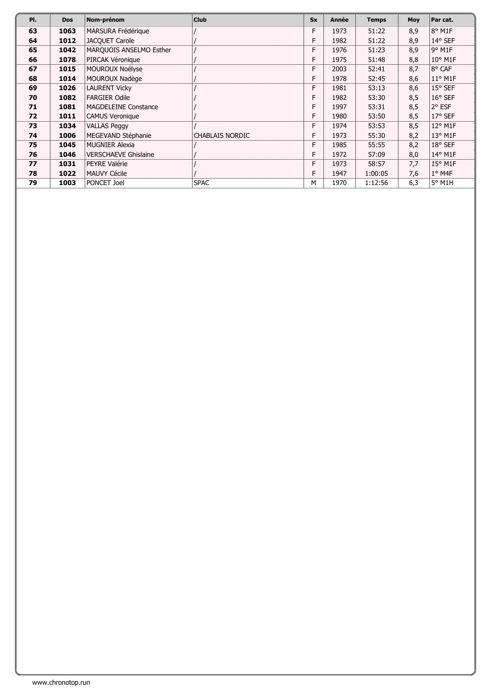| PI. | <b>Dos</b> | Nom-prénom                  | <b>Club</b>            | <b>Sx</b> | Année | <b>Temps</b> | <b>Moy</b> | Par cat.              |
|-----|------------|-----------------------------|------------------------|-----------|-------|--------------|------------|-----------------------|
| 63  | 1063       | MARSURA Frédérique          |                        | F.        | 1973  | 51:22        | 8,9        | 8° M1F                |
| 64  | 1012       | <b>JACQUET Carole</b>       |                        | F         | 1982  | 51:22        | 8,9        | 14° SEF               |
| 65  | 1042       | MARQUOIS ANSELMO Esther     |                        | F         | 1976  | 51:23        | 8,9        | $9°$ M <sub>1</sub> F |
| 66  | 1078       | PIRCAK Véronique            |                        | F         | 1975  | 51:48        | 8,8        | $10^{\circ}$ M1F      |
| 67  | 1015       | MOUROUX Noélyse             |                        | F         | 2003  | 52:41        | 8,7        | 8° CAF                |
| 68  | 1014       | MOUROUX Nadège              |                        | F         | 1978  | 52:45        | 8,6        | $11^{\circ}$ M1F      |
| 69  | 1026       | <b>LAURENT Vicky</b>        |                        | F         | 1981  | 53:13        | 8,6        | $15°$ SEF             |
| 70  | 1082       | <b>FARGIER Odile</b>        |                        | F         | 1982  | 53:30        | 8,5        | $16°$ SEF             |
| 71  | 1081       | <b>MAGDELEINE Constance</b> |                        | F         | 1997  | 53:31        | 8,5        | 2° ESF                |
| 72  | 1011       | <b>CAMUS Veronique</b>      |                        | F         | 1980  | 53:50        | 8,5        | $17°$ SEF             |
| 73  | 1034       | <b>VALLAS Peggy</b>         |                        | F         | 1974  | 53:53        | 8,5        | 12° M1F               |
| 74  | 1006       | MEGEVAND Stéphanie          | <b>CHABLAIS NORDIC</b> | F         | 1973  | 55:30        | 8,2        | 13° M1F               |
| 75  | 1045       | <b>MUGNIER Alexia</b>       |                        | F         | 1985  | 55:55        | 8,2        | 18° SEF               |
| 76  | 1046       | <b>VERSCHAEVE Ghislaine</b> |                        | F         | 1972  | 57:09        | 8,0        | 14° M1F               |
| 77  | 1031       | PEYRE Valérie               |                        | F         | 1973  | 58:57        | 7,7        | 15° M1F               |
| 78  | 1022       | <b>MAUVY Cécile</b>         |                        | F         | 1947  | 1:00:05      | 7,6        | $1°$ M4F              |
| 79  | 1003       | PONCET Joel                 | <b>SPAC</b>            | M         | 1970  | 1:12:56      | 6,3        | 5° M1H                |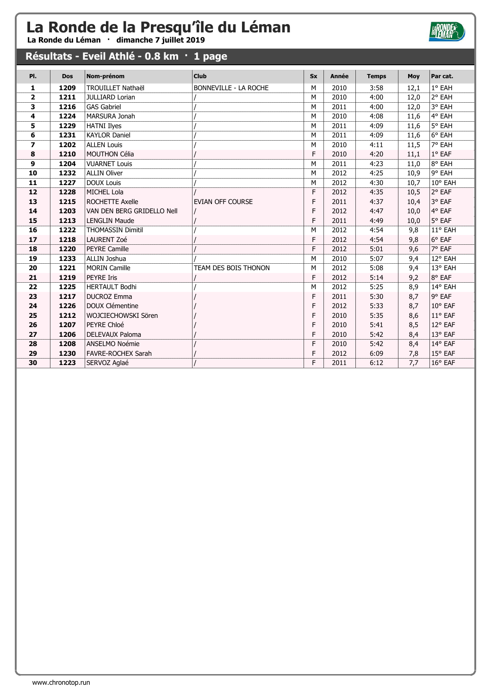La Ronde du Léman · dimanche 7 juillet 2019

### Résultats - Eveil Athlé - 0.8 km · 1 page

| PI.                      | <b>Dos</b> | Nom-prénom                 | <b>Club</b>                  | <b>Sx</b> | <b>Année</b> | <b>Temps</b> | Moy  | Par cat.        |
|--------------------------|------------|----------------------------|------------------------------|-----------|--------------|--------------|------|-----------------|
| 1                        | 1209       | <b>TROUILLET Nathaël</b>   | <b>BONNEVILLE - LA ROCHE</b> | M         | 2010         | 3:58         | 12,1 | 1° EAH          |
| $\mathbf{2}$             | 1211       | <b>JULLIARD Lorian</b>     |                              | M         | 2010         | 4:00         | 12,0 | 2° EAH          |
| 3                        | 1216       | <b>GAS Gabriel</b>         |                              | M         | 2011         | 4:00         | 12,0 | 3° EAH          |
| 4                        | 1224       | MARSURA Jonah              |                              | М         | 2010         | 4:08         | 11,6 | 4° EAH          |
| 5                        | 1229       | <b>HATNI Ilyes</b>         |                              | M         | 2011         | 4:09         | 11,6 | 5° EAH          |
| 6                        | 1231       | <b>KAYLOR Daniel</b>       |                              | M         | 2011         | 4:09         | 11,6 | 6° EAH          |
| $\overline{\phantom{a}}$ | 1202       | <b>ALLEN Louis</b>         |                              | М         | 2010         | 4:11         | 11,5 | 7° EAH          |
| 8                        | 1210       | <b>MOUTHON Célia</b>       |                              | F         | 2010         | 4:20         | 11,1 | $1^{\circ}$ EAF |
| 9                        | 1204       | <b>VUARNET Louis</b>       |                              | M         | 2011         | 4:23         | 11,0 | 8° EAH          |
| 10                       | 1232       | <b>ALLIN Oliver</b>        |                              | M         | 2012         | 4:25         | 10,9 | 9° EAH          |
| 11                       | 1227       | <b>DOUX Louis</b>          |                              | М         | 2012         | 4:30         | 10,7 | 10° EAH         |
| 12                       | 1228       | <b>MICHEL Lola</b>         |                              | F         | 2012         | 4:35         | 10,5 | 2° EAF          |
| 13                       | 1215       | <b>ROCHETTE Axelle</b>     | <b>EVIAN OFF COURSE</b>      | F         | 2011         | 4:37         | 10,4 | 3° EAF          |
| 14                       | 1203       | VAN DEN BERG GRIDELLO Nell |                              | F         | 2012         | 4:47         | 10,0 | 4° EAF          |
| 15                       | 1213       | <b>LENGLIN Maude</b>       |                              | F         | 2011         | 4:49         | 10,0 | 5° EAF          |
| 16                       | 1222       | <b>THOMASSIN Dimitil</b>   |                              | м         | 2012         | 4:54         | 9,8  | 11° EAH         |
| 17                       | 1218       | LAURENT Zoé                |                              | F         | 2012         | 4:54         | 9,8  | $6°$ EAF        |
| 18                       | 1220       | PEYRE Camille              |                              | F         | 2012         | 5:01         | 9,6  | 7° EAF          |
| 19                       | 1233       | ALLIN Joshua               |                              | M         | 2010         | 5:07         | 9,4  | 12° EAH         |
| 20                       | 1221       | <b>MORIN Camille</b>       | TEAM DES BOIS THONON         | М         | 2012         | 5:08         | 9,4  | 13° EAH         |
| 21                       | 1219       | <b>PEYRE Iris</b>          |                              | F         | 2012         | 5:14         | 9,2  | 8° EAF          |
| 22                       | 1225       | <b>HERTAULT Bodhi</b>      |                              | M         | 2012         | 5:25         | 8,9  | 14° EAH         |
| 23                       | 1217       | <b>DUCROZ Emma</b>         |                              | F         | 2011         | 5:30         | 8,7  | 9° EAF          |
| 24                       | 1226       | <b>DOUX Clémentine</b>     |                              | F         | 2012         | 5:33         | 8,7  | 10° EAF         |
| 25                       | 1212       | WOJCIECHOWSKI Sören        |                              | F         | 2010         | 5:35         | 8,6  | 11° EAF         |
| 26                       | 1207       | PEYRE Chloé                |                              | F         | 2010         | 5:41         | 8,5  | 12° EAF         |
| 27                       | 1206       | DELEVAUX Paloma            |                              | F         | 2010         | 5:42         | 8,4  | 13° EAF         |
| 28                       | 1208       | ANSELMO Noémie             |                              | F         | 2010         | 5:42         | 8,4  | 14° EAF         |
| 29                       | 1230       | FAVRE-ROCHEX Sarah         |                              | F         | 2012         | 6:09         | 7,8  | 15° EAF         |
| 30                       | 1223       | SERVOZ Aglaé               |                              | F         | 2011         | 6:12         | 7,7  | 16° EAF         |

**BRONDES**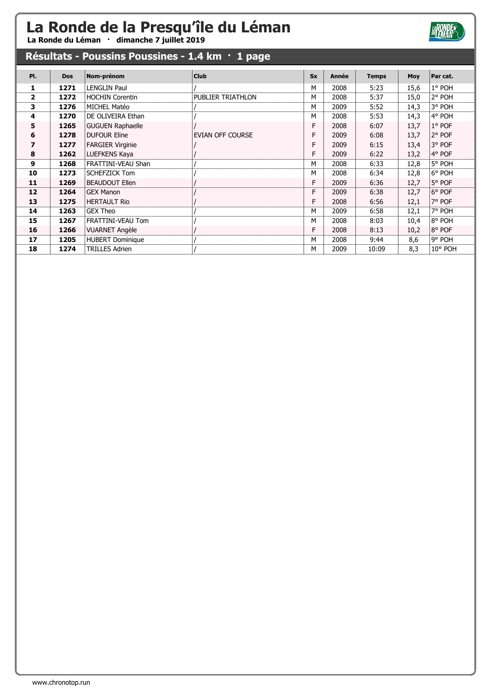La Ronde du Léman · dimanche 7 juillet 2019

### Résultats - Poussins Poussines - 1.4 km · 1 page

| PI.                     | <b>Dos</b> | Nom-prénom              | <b>Club</b>             | <b>Sx</b> | Année | <b>Temps</b> | Moy  | Par cat. |
|-------------------------|------------|-------------------------|-------------------------|-----------|-------|--------------|------|----------|
| 1                       | 1271       | <b>LENGLIN Paul</b>     |                         | M         | 2008  | 5:23         | 15,6 | 1° POH   |
| $\overline{2}$          | 1272       | <b>HOCHIN Corentin</b>  | PUBLIER TRIATHLON       | м         | 2008  | 5:37         | 15,0 | 2° POH   |
| 3                       | 1276       | MICHEL Matéo            |                         | M         | 2009  | 5:52         | 14,3 | 3° POH   |
| 4                       | 1270       | DE OLIVEIRA Ethan       |                         | M         | 2008  | 5:53         | 14,3 | 4° POH   |
| 5                       | 1265       | <b>GUGUEN Raphaelle</b> |                         | F         | 2008  | 6:07         | 13,7 | $1°$ POF |
| 6                       | 1278       | <b>DUFOUR Eline</b>     | <b>EVIAN OFF COURSE</b> | F         | 2009  | 6:08         | 13,7 | 2° POF   |
| $\overline{\mathbf{z}}$ | 1277       | <b>FARGIER Virginie</b> |                         | F         | 2009  | 6:15         | 13,4 | 3° POF   |
| 8                       | 1262       | LUEFKENS Kaya           |                         | F         | 2009  | 6:22         | 13,2 | 4° POF   |
| 9                       | 1268       | FRATTINI-VEAU Shan      |                         | M         | 2008  | 6:33         | 12,8 | 5° POH   |
| 10                      | 1273       | <b>SCHEFZICK Tom</b>    |                         | M         | 2008  | 6:34         | 12,8 | 6° POH   |
| 11                      | 1269       | <b>BEAUDOUT Ellen</b>   |                         | F         | 2009  | 6:36         | 12,7 | 5° POF   |
| 12                      | 1264       | <b>GEX Manon</b>        |                         | F         | 2009  | 6:38         | 12,7 | 6° POF   |
| 13                      | 1275       | <b>HERTAULT Rio</b>     |                         | F         | 2008  | 6:56         | 12,1 | 7° POF   |
| 14                      | 1263       | <b>GEX Theo</b>         |                         | м         | 2009  | 6:58         | 12,1 | 7° POH   |
| 15                      | 1267       | FRATTINI-VEAU Tom       |                         | M         | 2008  | 8:03         | 10,4 | 8° POH   |
| 16                      | 1266       | <b>VUARNET Angèle</b>   |                         | F         | 2008  | 8:13         | 10,2 | 8° POF   |
| 17                      | 1205       | <b>HUBERT Dominique</b> |                         | M         | 2008  | 9:44         | 8,6  | 9° POH   |
| 18                      | 1274       | <b>TRILLES Adrien</b>   |                         | м         | 2009  | 10:09        | 8,3  | 10° POH  |

**HRONDE**